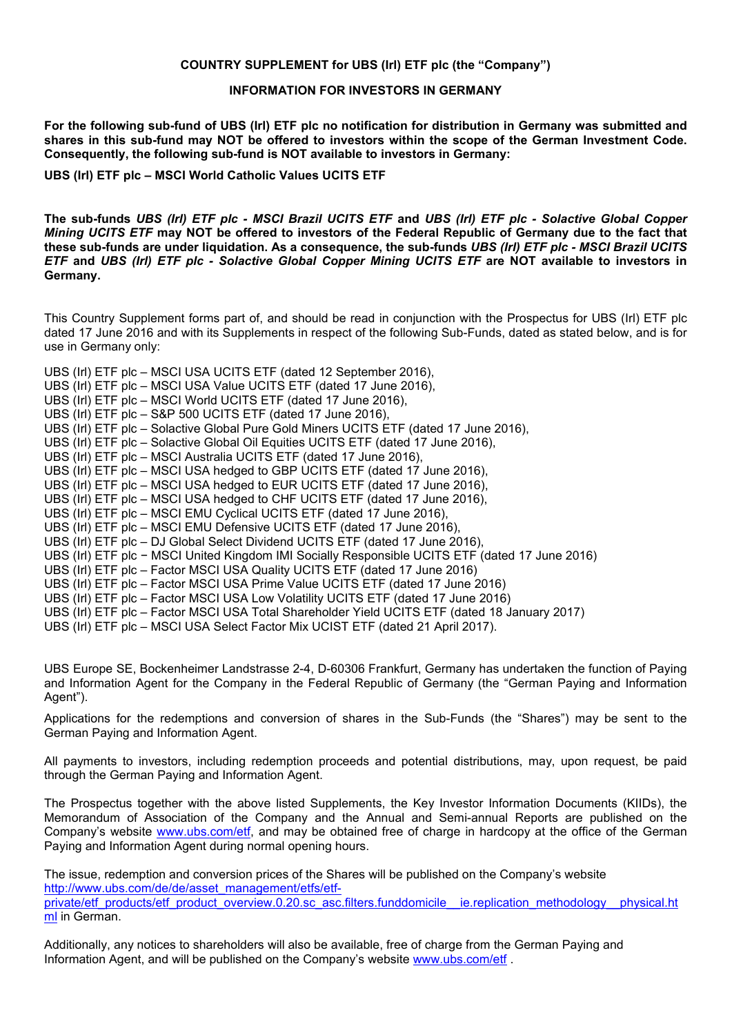## **COUNTRY SUPPLEMENT for UBS (Irl) ETF plc (the "Company")**

## **INFORMATION FOR INVESTORS IN GERMANY**

**For the following sub-fund of UBS (Irl) ETF plc no notification for distribution in Germany was submitted and shares in this sub-fund may NOT be offered to investors within the scope of the German Investment Code. Consequently, the following sub-fund is NOT available to investors in Germany:** 

**UBS (Irl) ETF plc – MSCI World Catholic Values UCITS ETF**

**The sub-funds** *UBS (Irl) ETF plc - MSCI Brazil UCITS ETF* **and** *UBS (Irl) ETF plc - Solactive Global Copper Mining UCITS ETF* **may NOT be offered to investors of the Federal Republic of Germany due to the fact that these sub-funds are under liquidation. As a consequence, the sub-funds** *UBS (Irl) ETF plc - MSCI Brazil UCITS ETF* **and** *UBS (Irl) ETF plc - Solactive Global Copper Mining UCITS ETF* **are NOT available to investors in Germany.**

This Country Supplement forms part of, and should be read in conjunction with the Prospectus for UBS (Irl) ETF plc dated 17 June 2016 and with its Supplements in respect of the following Sub-Funds, dated as stated below, and is for use in Germany only:

- UBS (Irl) ETF plc MSCI USA UCITS ETF (dated 12 September 2016),
- UBS (Irl) ETF plc MSCI USA Value UCITS ETF (dated 17 June 2016),
- UBS (Irl) ETF plc MSCI World UCITS ETF (dated 17 June 2016),
- UBS (Irl) ETF plc S&P 500 UCITS ETF (dated 17 June 2016),
- UBS (Irl) ETF plc Solactive Global Pure Gold Miners UCITS ETF (dated 17 June 2016),
- UBS (Irl) ETF plc Solactive Global Oil Equities UCITS ETF (dated 17 June 2016),
- UBS (Irl) ETF plc MSCI Australia UCITS ETF (dated 17 June 2016),
- UBS (Irl) ETF plc MSCI USA hedged to GBP UCITS ETF (dated 17 June 2016),
- UBS (Irl) ETF plc MSCI USA hedged to EUR UCITS ETF (dated 17 June 2016),
- UBS (Irl) ETF plc MSCI USA hedged to CHF UCITS ETF (dated 17 June 2016),
- UBS (Irl) ETF plc MSCI EMU Cyclical UCITS ETF (dated 17 June 2016),
- UBS (Irl) ETF plc MSCI EMU Defensive UCITS ETF (dated 17 June 2016),
- UBS (Irl) ETF plc DJ Global Select Dividend UCITS ETF (dated 17 June 2016),
- UBS (Irl) ETF plc − MSCI United Kingdom IMI Socially Responsible UCITS ETF (dated 17 June 2016)
- UBS (Irl) ETF plc Factor MSCI USA Quality UCITS ETF (dated 17 June 2016)
- UBS (Irl) ETF plc Factor MSCI USA Prime Value UCITS ETF (dated 17 June 2016)
- UBS (Irl) ETF plc Factor MSCI USA Low Volatility UCITS ETF (dated 17 June 2016)
- UBS (Irl) ETF plc Factor MSCI USA Total Shareholder Yield UCITS ETF (dated 18 January 2017)
- UBS (Irl) ETF plc MSCI USA Select Factor Mix UCIST ETF (dated 21 April 2017).

UBS Europe SE, Bockenheimer Landstrasse 2-4, D-60306 Frankfurt, Germany has undertaken the function of Paying and Information Agent for the Company in the Federal Republic of Germany (the "German Paying and Information Agent").

Applications for the redemptions and conversion of shares in the Sub-Funds (the "Shares") may be sent to the German Paying and Information Agent.

All payments to investors, including redemption proceeds and potential distributions, may, upon request, be paid through the German Paying and Information Agent.

The Prospectus together with the above listed Supplements, the Key Investor Information Documents (KIIDs), the Memorandum of A[ssociation of the](http://www.ubs.com/etf) Company and the Annual and Semi-annual Reports are published on the Company's website www.ubs.com/etf, and may be obtained free of charge in hardcopy at the office of the German Paying and Information Agent during normal opening hours.

The issue, redemption and conversion prices of the Shares will be published on the Company's website [http://www.ubs.com/de/de/asset\\_management/etfs/etf](http://www.ubs.com/de/de/asset_management/etfs/etf-private/etf_products/etf_product_overview.0.20.sc_asc.filters.funddomicile__ie.replication_methodology__physical.html)private/etf\_products/etf\_product\_overview.0<u>.20.sc\_asc.filters.funddomicile\_\_ie.replication\_methodology\_\_physical.ht</u> ml in German.

Additionally, any notices to shareholders will also be available, free [of charge from the](http://www.ubs.com/etf) German Paying and Information Agent, and will be published on the Company's website www.ubs.com/etf .